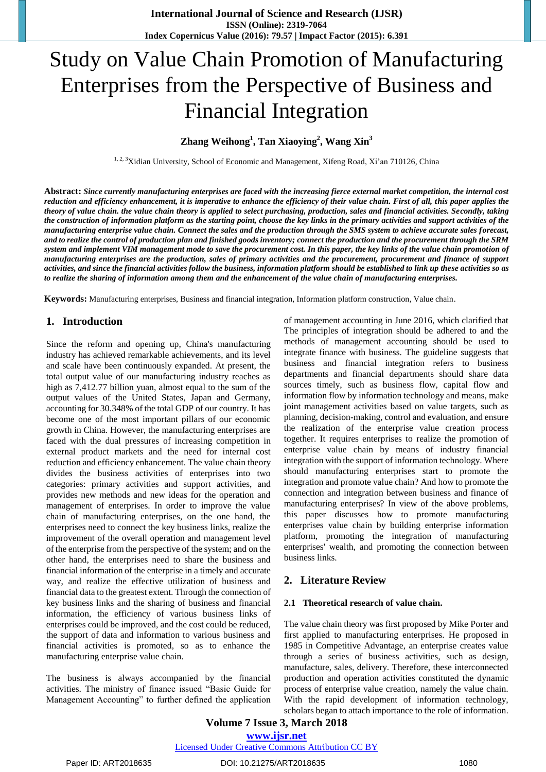# Study on Value Chain Promotion of Manufacturing Enterprises from the Perspective of Business and Financial Integration

# **Zhang Weihong<sup>1</sup> , Tan Xiaoying<sup>2</sup> , Wang Xin<sup>3</sup>**

<sup>1, 2, 3</sup>Xidian University, School of Economic and Management, Xifeng Road, Xi'an 710126, China

**Abstract:** *Since currently manufacturing enterprises are faced with the increasing fierce external market competition, the internal cost reduction and efficiency enhancement, it is imperative to enhance the efficiency of their value chain. First of all, this paper applies the theory of value chain. the value chain theory is applied to select purchasing, production, sales and financial activities. Secondly, taking the construction of information platform as the starting point, choose the key links in the primary activities and support activities of the manufacturing enterprise value chain. Connect the sales and the production through the SMS system to achieve accurate sales forecast, and to realize the control of production plan and finished goods inventory; connect the production and the procurement through the SRM system and implement VIM management mode to save the procurement cost. In this paper, the key links of the value chain promotion of manufacturing enterprises are the production, sales of primary activities and the procurement, procurement and finance of support activities, and since the financial activities follow the business, information platform should be established to link up these activities so as to realize the sharing of information among them and the enhancement of the value chain of manufacturing enterprises.*

**Keywords:** Manufacturing enterprises, Business and financial integration, Information platform construction, Value chain.

### **1. Introduction**

Since the reform and opening up, China's manufacturing industry has achieved remarkable achievements, and its level and scale have been continuously expanded. At present, the total output value of our manufacturing industry reaches as high as 7,412.77 billion yuan, almost equal to the sum of the output values of the United States, Japan and Germany, accounting for 30.348% of the total GDP of our country. It has become one of the most important pillars of our economic growth in China. However, the manufacturing enterprises are faced with the dual pressures of increasing competition in external product markets and the need for internal cost reduction and efficiency enhancement. The value chain theory divides the business activities of enterprises into two categories: primary activities and support activities, and provides new methods and new ideas for the operation and management of enterprises. In order to improve the value chain of manufacturing enterprises, on the one hand, the enterprises need to connect the key business links, realize the improvement of the overall operation and management level of the enterprise from the perspective of the system; and on the other hand, the enterprises need to share the business and financial information of the enterprise in a timely and accurate way, and realize the effective utilization of business and financial data to the greatest extent. Through the connection of key business links and the sharing of business and financial information, the efficiency of various business links of enterprises could be improved, and the cost could be reduced, the support of data and information to various business and financial activities is promoted, so as to enhance the manufacturing enterprise value chain.

The business is always accompanied by the financial activities. The ministry of finance issued "Basic Guide for Management Accounting" to further defined the application

of management accounting in June 2016, which clarified that The principles of integration should be adhered to and the methods of management accounting should be used to integrate finance with business. The guideline suggests that business and financial integration refers to business departments and financial departments should share data sources timely, such as business flow, capital flow and information flow by information technology and means, make joint management activities based on value targets, such as planning, decision-making, control and evaluation, and ensure the realization of the enterprise value creation process together. It requires enterprises to realize the promotion of enterprise value chain by means of industry financial integration with the support of information technology. Where should manufacturing enterprises start to promote the integration and promote value chain? And how to promote the connection and integration between business and finance of manufacturing enterprises? In view of the above problems, this paper discusses how to promote manufacturing enterprises value chain by building enterprise information platform, promoting the integration of manufacturing enterprises' wealth, and promoting the connection between business links.

# **2. Literature Review**

#### **2.1 Theoretical research of value chain.**

The value chain theory was first proposed by Mike Porter and first applied to manufacturing enterprises. He proposed in 1985 in Competitive Advantage, an enterprise creates value through a series of business activities, such as design, manufacture, sales, delivery. Therefore, these interconnected production and operation activities constituted the dynamic process of enterprise value creation, namely the value chain. With the rapid development of information technology, scholars began to attach importance to the role of information.

**Volume 7 Issue 3, March 2018 [www.ijsr.net](file:///D:\IJSR%20Website\www.ijsr.net)** [Licensed Under Creative Commons Attribution CC BY](http://creativecommons.org/licenses/by/4.0/)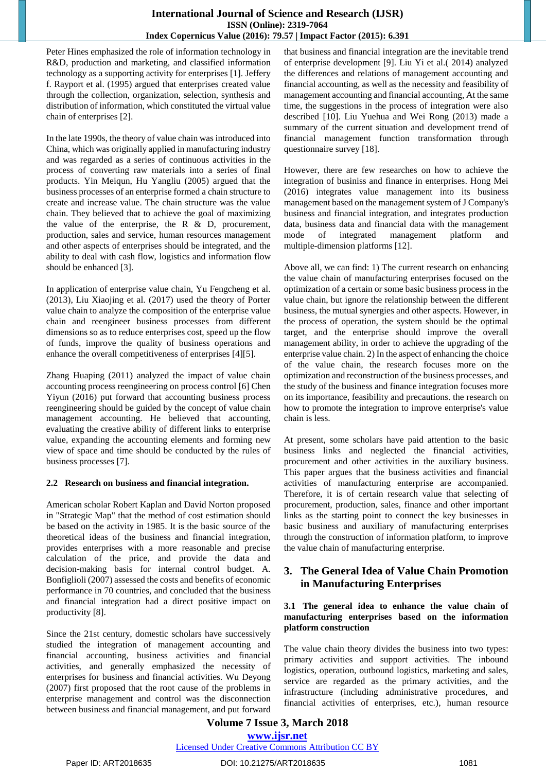# **International Journal of Science and Research (IJSR) ISSN (Online): 2319-7064 Index Copernicus Value (2016): 79.57 | Impact Factor (2015): 6.391**

Peter Hines emphasized the role of information technology in R&D, production and marketing, and classified information technology as a supporting activity for enterprises [1]. Jeffery f. Rayport et al. (1995) argued that enterprises created value through the collection, organization, selection, synthesis and distribution of information, which constituted the virtual value chain of enterprises [2].

In the late 1990s, the theory of value chain was introduced into China, which was originally applied in manufacturing industry and was regarded as a series of continuous activities in the process of converting raw materials into a series of final products. Yin Meiqun, Hu Yangliu (2005) argued that the business processes of an enterprise formed a chain structure to create and increase value. The chain structure was the value chain. They believed that to achieve the goal of maximizing the value of the enterprise, the R  $\&$  D, procurement, production, sales and service, human resources management and other aspects of enterprises should be integrated, and the ability to deal with cash flow, logistics and information flow should be enhanced [3].

In application of enterprise value chain, Yu Fengcheng et al. (2013), Liu Xiaojing et al. (2017) used the theory of Porter value chain to analyze the composition of the enterprise value chain and reengineer business processes from different dimensions so as to reduce enterprises cost, speed up the flow of funds, improve the quality of business operations and enhance the overall competitiveness of enterprises [4][5].

Zhang Huaping (2011) analyzed the impact of value chain accounting process reengineering on process control [6] Chen Yiyun (2016) put forward that accounting business process reengineering should be guided by the concept of value chain management accounting. He believed that accounting, evaluating the creative ability of different links to enterprise value, expanding the accounting elements and forming new view of space and time should be conducted by the rules of business processes [7].

# **2.2 Research on business and financial integration.**

American scholar Robert Kaplan and David Norton proposed in "Strategic Map" that the method of cost estimation should be based on the activity in 1985. It is the basic source of the theoretical ideas of the business and financial integration, provides enterprises with a more reasonable and precise calculation of the price, and provide the data and decision-making basis for internal control budget. A. Bonfiglioli (2007) assessed the costs and benefits of economic performance in 70 countries, and concluded that the business and financial integration had a direct positive impact on productivity [8].

Since the 21st century, domestic scholars have successively studied the integration of management accounting and financial accounting, business activities and financial activities, and generally emphasized the necessity of enterprises for business and financial activities. Wu Deyong (2007) first proposed that the root cause of the problems in enterprise management and control was the disconnection between business and financial management, and put forward

that business and financial integration are the inevitable trend of enterprise development [9]. Liu Yi et al.( 2014) analyzed the differences and relations of management accounting and financial accounting, as well as the necessity and feasibility of management accounting and financial accounting, At the same time, the suggestions in the process of integration were also described [10]. Liu Yuehua and Wei Rong (2013) made a summary of the current situation and development trend of financial management function transformation through questionnaire survey [18].

However, there are few researches on how to achieve the integration of businiss and finance in enterprises. Hong Mei (2016) integrates value management into its business management based on the management system of J Company's business and financial integration, and integrates production data, business data and financial data with the management mode of integrated management platform and multiple-dimension platforms [12].

Above all, we can find: 1) The current research on enhancing the value chain of manufacturing enterprises focused on the optimization of a certain or some basic business process in the value chain, but ignore the relationship between the different business, the mutual synergies and other aspects. However, in the process of operation, the system should be the optimal target, and the enterprise should improve the overall management ability, in order to achieve the upgrading of the enterprise value chain. 2) In the aspect of enhancing the choice of the value chain, the research focuses more on the optimization and reconstruction of the business processes, and the study of the business and finance integration focuses more on its importance, feasibility and precautions. the research on how to promote the integration to improve enterprise's value chain is less.

At present, some scholars have paid attention to the basic business links and neglected the financial activities, procurement and other activities in the auxiliary business. This paper argues that the business activities and financial activities of manufacturing enterprise are accompanied. Therefore, it is of certain research value that selecting of procurement, production, sales, finance and other important links as the starting point to connect the key businesses in basic business and auxiliary of manufacturing enterprises through the construction of information platform, to improve the value chain of manufacturing enterprise.

# **3. The General Idea of Value Chain Promotion in Manufacturing Enterprises**

#### **3.1 The general idea to enhance the value chain of manufacturing enterprises based on the information platform construction**

The value chain theory divides the business into two types: primary activities and support activities. The inbound logistics, operation, outbound logistics, marketing and sales, service are regarded as the primary activities, and the infrastructure (including administrative procedures, and financial activities of enterprises, etc.), human resource

# **Volume 7 Issue 3, March 2018 [www.ijsr.net](file:///D:\IJSR%20Website\www.ijsr.net)**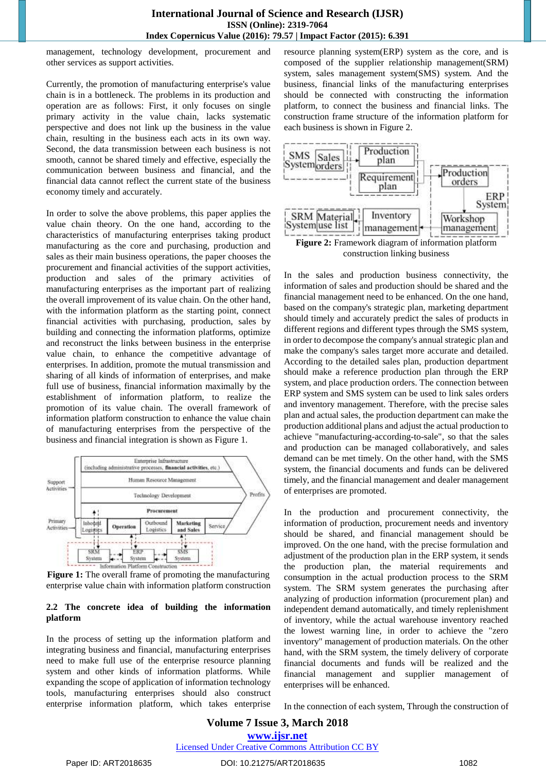management, technology development, procurement and other services as support activities.

Currently, the promotion of manufacturing enterprise's value chain is in a bottleneck. The problems in its production and operation are as follows: First, it only focuses on single primary activity in the value chain, lacks systematic perspective and does not link up the business in the value chain, resulting in the business each acts in its own way. Second, the data transmission between each business is not smooth, cannot be shared timely and effective, especially the communication between business and financial, and the financial data cannot reflect the current state of the business economy timely and accurately.

In order to solve the above problems, this paper applies the value chain theory. On the one hand, according to the characteristics of manufacturing enterprises taking product manufacturing as the core and purchasing, production and sales as their main business operations, the paper chooses the procurement and financial activities of the support activities, production and sales of the primary activities of manufacturing enterprises as the important part of realizing the overall improvement of its value chain. On the other hand, with the information platform as the starting point, connect financial activities with purchasing, production, sales by building and connecting the information platforms, optimize and reconstruct the links between business in the enterprise value chain, to enhance the competitive advantage of enterprises. In addition, promote the mutual transmission and sharing of all kinds of information of enterprises, and make full use of business, financial information maximally by the establishment of information platform, to realize the promotion of its value chain. The overall framework of information platform construction to enhance the value chain of manufacturing enterprises from the perspective of the business and financial integration is shown as Figure 1.



**Figure 1:** The overall frame of promoting the manufacturing enterprise value chain with information platform construction

#### **2.2 The concrete idea of building the information platform**

In the process of setting up the information platform and integrating business and financial, manufacturing enterprises need to make full use of the enterprise resource planning system and other kinds of information platforms. While expanding the scope of application of information technology tools, manufacturing enterprises should also construct enterprise information platform, which takes enterprise resource planning system(ERP) system as the core, and is composed of the supplier relationship management(SRM) system, sales management system(SMS) system. And the business, financial links of the manufacturing enterprises should be connected with constructing the information platform, to connect the business and financial links. The construction frame structure of the information platform for each business is shown in Figure 2.



construction linking business

In the sales and production business connectivity, the information of sales and production should be shared and the financial management need to be enhanced. On the one hand, based on the company's strategic plan, marketing department should timely and accurately predict the sales of products in different regions and different types through the SMS system, in order to decompose the company's annual strategic plan and make the company's sales target more accurate and detailed. According to the detailed sales plan, production department should make a reference production plan through the ERP system, and place production orders. The connection between ERP system and SMS system can be used to link sales orders and inventory management. Therefore, with the precise sales plan and actual sales, the production department can make the production additional plans and adjust the actual production to achieve "manufacturing-according-to-sale", so that the sales and production can be managed collaboratively, and sales demand can be met timely. On the other hand, with the SMS system, the financial documents and funds can be delivered timely, and the financial management and dealer management of enterprises are promoted.

In the production and procurement connectivity, the information of production, procurement needs and inventory should be shared, and financial management should be improved. On the one hand, with the precise formulation and adjustment of the production plan in the ERP system, it sends the production plan, the material requirements and consumption in the actual production process to the SRM system. The SRM system generates the purchasing after analyzing of production information (procurement plan) and independent demand automatically, and timely replenishment of inventory, while the actual warehouse inventory reached the lowest warning line, in order to achieve the "zero inventory" management of production materials. On the other hand, with the SRM system, the timely delivery of corporate financial documents and funds will be realized and the financial management and supplier management of enterprises will be enhanced.

In the connection of each system, Through the construction of

# **Volume 7 Issue 3, March 2018 [www.ijsr.net](file:///D:\IJSR%20Website\www.ijsr.net)**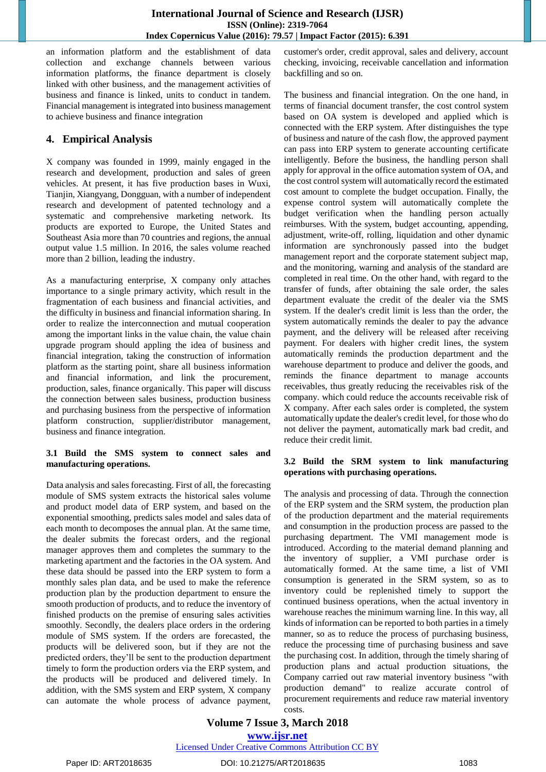an information platform and the establishment of data collection and exchange channels between various information platforms, the finance department is closely linked with other business, and the management activities of business and finance is linked, units to conduct in tandem. Financial management is integrated into business management to achieve business and finance integration

# **4. Empirical Analysis**

X company was founded in 1999, mainly engaged in the research and development, production and sales of green vehicles. At present, it has five production bases in Wuxi, Tianjin, Xiangyang, Dongguan, with a number of independent research and development of patented technology and a systematic and comprehensive marketing network. Its products are exported to Europe, the United States and Southeast Asia more than 70 countries and regions, the annual output value 1.5 million. In 2016, the sales volume reached more than 2 billion, leading the industry.

As a manufacturing enterprise, X company only attaches importance to a single primary activity, which result in the fragmentation of each business and financial activities, and the difficulty in business and financial information sharing. In order to realize the interconnection and mutual cooperation among the important links in the value chain, the value chain upgrade program should appling the idea of business and financial integration, taking the construction of information platform as the starting point, share all business information and financial information, and link the procurement, production, sales, finance organically. This paper will discuss the connection between sales business, production business and purchasing business from the perspective of information platform construction, supplier/distributor management, business and finance integration.

#### **3.1 Build the SMS system to connect sales and manufacturing operations.**

Data analysis and sales forecasting. First of all, the forecasting module of SMS system extracts the historical sales volume and product model data of ERP system, and based on the exponential smoothing, predicts sales model and sales data of each month to decomposes the annual plan. At the same time, the dealer submits the forecast orders, and the regional manager approves them and completes the summary to the marketing apartment and the factories in the OA system. And these data should be passed into the ERP system to form a monthly sales plan data, and be used to make the reference production plan by the production department to ensure the smooth production of products, and to reduce the inventory of finished products on the premise of ensuring sales activities smoothly. Secondly, the dealers place orders in the ordering module of SMS system. If the orders are forecasted, the products will be delivered soon, but if they are not the predicted orders, they"ll be sent to the production department timely to form the production orders via the ERP system, and the products will be produced and delivered timely. In addition, with the SMS system and ERP system, X company can automate the whole process of advance payment,

customer's order, credit approval, sales and delivery, account checking, invoicing, receivable cancellation and information backfilling and so on.

The business and financial integration. On the one hand, in terms of financial document transfer, the cost control system based on OA system is developed and applied which is connected with the ERP system. After distinguishes the type of business and nature of the cash flow, the approved payment can pass into ERP system to generate accounting certificate intelligently. Before the business, the handling person shall apply for approval in the office automation system of OA, and the cost control system will automatically record the estimated cost amount to complete the budget occupation. Finally, the expense control system will automatically complete the budget verification when the handling person actually reimburses. With the system, budget accounting, appending, adjustment, write-off, rolling, liquidation and other dynamic information are synchronously passed into the budget management report and the corporate statement subject map, and the monitoring, warning and analysis of the standard are completed in real time. On the other hand, with regard to the transfer of funds, after obtaining the sale order, the sales department evaluate the credit of the dealer via the SMS system. If the dealer's credit limit is less than the order, the system automatically reminds the dealer to pay the advance payment, and the delivery will be released after receiving payment. For dealers with higher credit lines, the system automatically reminds the production department and the warehouse department to produce and deliver the goods, and reminds the finance department to manage accounts receivables, thus greatly reducing the receivables risk of the company. which could reduce the accounts receivable risk of X company. After each sales order is completed, the system automatically update the dealer's credit level, for those who do not deliver the payment, automatically mark bad credit, and reduce their credit limit.

#### **3.2 Build the SRM system to link manufacturing operations with purchasing operations.**

The analysis and processing of data. Through the connection of the ERP system and the SRM system, the production plan of the production department and the material requirements and consumption in the production process are passed to the purchasing department. The VMI management mode is introduced. According to the material demand planning and the inventory of supplier, a VMI purchase order is automatically formed. At the same time, a list of VMI consumption is generated in the SRM system, so as to inventory could be replenished timely to support the continued business operations, when the actual inventory in warehouse reaches the minimum warning line. In this way, all kinds of information can be reported to both parties in a timely manner, so as to reduce the process of purchasing business, reduce the processing time of purchasing business and save the purchasing cost. In addition, through the timely sharing of production plans and actual production situations, the Company carried out raw material inventory business "with production demand" to realize accurate control of procurement requirements and reduce raw material inventory costs.

# **Volume 7 Issue 3, March 2018**

**[www.ijsr.net](file:///D:\IJSR%20Website\www.ijsr.net)**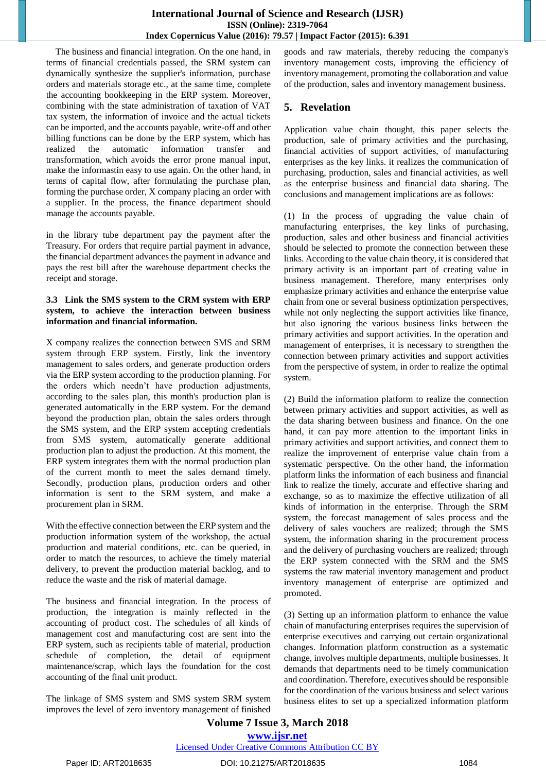The business and financial integration. On the one hand, in terms of financial credentials passed, the SRM system can dynamically synthesize the supplier's information, purchase orders and materials storage etc., at the same time, complete the accounting bookkeeping in the ERP system. Moreover, combining with the state administration of taxation of VAT tax system, the information of invoice and the actual tickets can be imported, and the accounts payable, write-off and other billing functions can be done by the ERP system, which has realized the automatic information transfer and transformation, which avoids the error prone manual input, make the informastin easy to use again. On the other hand, in terms of capital flow, after formulating the purchase plan, forming the purchase order, X company placing an order with a supplier. In the process, the finance department should manage the accounts payable.

in the library tube department pay the payment after the Treasury. For orders that require partial payment in advance, the financial department advances the payment in advance and pays the rest bill after the warehouse department checks the receipt and storage.

#### **3.3 Link the SMS system to the CRM system with ERP system, to achieve the interaction between business information and financial information.**

X company realizes the connection between SMS and SRM system through ERP system. Firstly, link the inventory management to sales orders, and generate production orders via the ERP system according to the production planning. For the orders which needn"t have production adjustments, according to the sales plan, this month's production plan is generated automatically in the ERP system. For the demand beyond the production plan, obtain the sales orders through the SMS system, and the ERP system accepting credentials from SMS system, automatically generate additional production plan to adjust the production. At this moment, the ERP system integrates them with the normal production plan of the current month to meet the sales demand timely. Secondly, production plans, production orders and other information is sent to the SRM system, and make a procurement plan in SRM.

With the effective connection between the ERP system and the production information system of the workshop, the actual production and material conditions, etc. can be queried, in order to match the resources, to achieve the timely material delivery, to prevent the production material backlog, and to reduce the waste and the risk of material damage.

The business and financial integration. In the process of production, the integration is mainly reflected in the accounting of product cost. The schedules of all kinds of management cost and manufacturing cost are sent into the ERP system, such as recipients table of material, production schedule of completion, the detail of equipment maintenance/scrap, which lays the foundation for the cost accounting of the final unit product.

The linkage of SMS system and SMS system SRM system improves the level of zero inventory management of finished goods and raw materials, thereby reducing the company's inventory management costs, improving the efficiency of inventory management, promoting the collaboration and value of the production, sales and inventory management business.

# **5. Revelation**

Application value chain thought, this paper selects the production, sale of primary activities and the purchasing, financial activities of support activities, of manufacturing enterprises as the key links. it realizes the communication of purchasing, production, sales and financial activities, as well as the enterprise business and financial data sharing. The conclusions and management implications are as follows:

(1) In the process of upgrading the value chain of manufacturing enterprises, the key links of purchasing, production, sales and other business and financial activities should be selected to promote the connection between these links. According to the value chain theory, it is considered that primary activity is an important part of creating value in business management. Therefore, many enterprises only emphasize primary activities and enhance the enterprise value chain from one or several business optimization perspectives, while not only neglecting the support activities like finance, but also ignoring the various business links between the primary activities and support activities. In the operation and management of enterprises, it is necessary to strengthen the connection between primary activities and support activities from the perspective of system, in order to realize the optimal system.

(2) Build the information platform to realize the connection between primary activities and support activities, as well as the data sharing between business and finance. On the one hand, it can pay more attention to the important links in primary activities and support activities, and connect them to realize the improvement of enterprise value chain from a systematic perspective. On the other hand, the information platform links the information of each business and financial link to realize the timely, accurate and effective sharing and exchange, so as to maximize the effective utilization of all kinds of information in the enterprise. Through the SRM system, the forecast management of sales process and the delivery of sales vouchers are realized; through the SMS system, the information sharing in the procurement process and the delivery of purchasing vouchers are realized; through the ERP system connected with the SRM and the SMS systems the raw material inventory management and product inventory management of enterprise are optimized and promoted.

(3) Setting up an information platform to enhance the value chain of manufacturing enterprises requires the supervision of enterprise executives and carrying out certain organizational changes. Information platform construction as a systematic change, involves multiple departments, multiple businesses. It demands that departments need to be timely communication and coordination. Therefore, executives should be responsible for the coordination of the various business and select various business elites to set up a specialized information platform

**Volume 7 Issue 3, March 2018 [www.ijsr.net](file:///D:\IJSR%20Website\www.ijsr.net)**